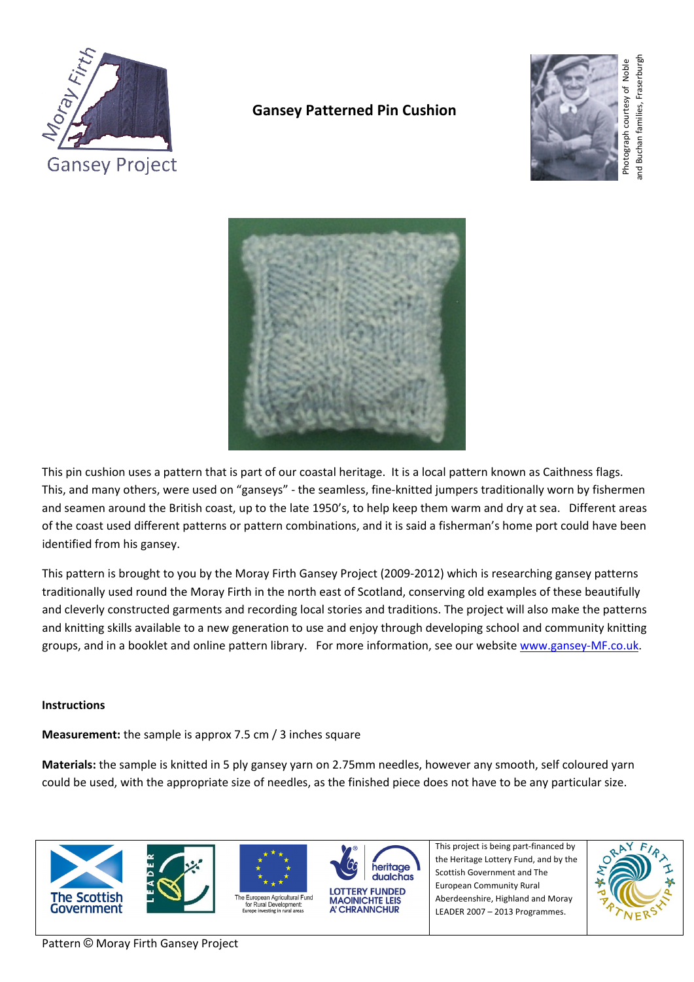

# **Gansey Patterned Pin Cushion**





This pin cushion uses a pattern that is part of our coastal heritage. It is a local pattern known as Caithness flags. This, and many others, were used on "ganseys" ‐ the seamless, fine‐knitted jumpers traditionally worn by fishermen and seamen around the British coast, up to the late 1950's, to help keep them warm and dry at sea. Different areas of the coast used different patterns or pattern combinations, and it is said a fisherman's home port could have been identified from his gansey.

This pattern is brought to you by the Moray Firth Gansey Project (2009-2012) which is researching gansey patterns traditionally used round the Moray Firth in the north east of Scotland, conserving old examples of these beautifully and cleverly constructed garments and recording local stories and traditions. The project will also make the patterns and knitting skills available to a new generation to use and enjoy through developing school and community knitting groups, and in a booklet and online pattern library. For more information, see our website [www.gansey](http://www.gansey-mf.co.uk/)‐MF.co.uk.

## **Instructions**

**Measurement:** the sample is approx 7.5 cm / 3 inches square

**Materials:** the sample is knitted in 5 ply gansey yarn on 2.75mm needles, however any smooth, self coloured yarn could be used, with the appropriate size of needles, as the finished piece does not have to be any particular size.









A' CHRANNCHUR

Scottish Government and The European Community Rural Aberdeenshire, Highland and Moray LEADER 2007 – 2013 Programmes.

This project is being part‐financed by the Heritage Lottery Fund, and by the